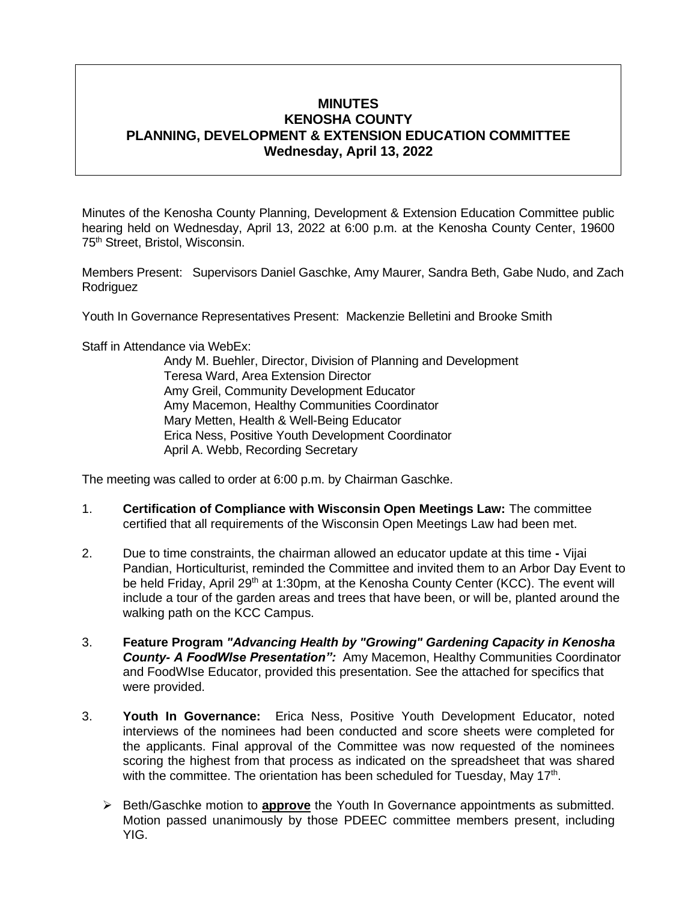# **MINUTES KENOSHA COUNTY PLANNING, DEVELOPMENT & EXTENSION EDUCATION COMMITTEE Wednesday, April 13, 2022**

Minutes of the Kenosha County Planning, Development & Extension Education Committee public hearing held on Wednesday, April 13, 2022 at 6:00 p.m. at the Kenosha County Center, 19600 75th Street, Bristol, Wisconsin.

Members Present: Supervisors Daniel Gaschke, Amy Maurer, Sandra Beth, Gabe Nudo, and Zach Rodriguez

Youth In Governance Representatives Present: Mackenzie Belletini and Brooke Smith

Staff in Attendance via WebEx:

Andy M. Buehler, Director, Division of Planning and Development Teresa Ward, Area Extension Director Amy Greil, Community Development Educator Amy Macemon, Healthy Communities Coordinator Mary Metten, Health & Well-Being Educator Erica Ness, Positive Youth Development Coordinator April A. Webb, Recording Secretary

The meeting was called to order at 6:00 p.m. by Chairman Gaschke.

- 1. **Certification of Compliance with Wisconsin Open Meetings Law:** The committee certified that all requirements of the Wisconsin Open Meetings Law had been met.
- 2. Due to time constraints, the chairman allowed an educator update at this time **-** Vijai Pandian, Horticulturist, reminded the Committee and invited them to an Arbor Day Event to be held Friday, April 29<sup>th</sup> at 1:30pm, at the Kenosha County Center (KCC). The event will include a tour of the garden areas and trees that have been, or will be, planted around the walking path on the KCC Campus.
- 3. **Feature Program** *"Advancing Health by "Growing" Gardening Capacity in Kenosha County- A FoodWIse Presentation":* Amy Macemon, Healthy Communities Coordinator and FoodWIse Educator, provided this presentation. See the attached for specifics that were provided.
- 3. **Youth In Governance:** Erica Ness, Positive Youth Development Educator, noted interviews of the nominees had been conducted and score sheets were completed for the applicants. Final approval of the Committee was now requested of the nominees scoring the highest from that process as indicated on the spreadsheet that was shared with the committee. The orientation has been scheduled for Tuesday, May 17<sup>th</sup>.
	- ➢ Beth/Gaschke motion to **approve** the Youth In Governance appointments as submitted. Motion passed unanimously by those PDEEC committee members present, including YIG.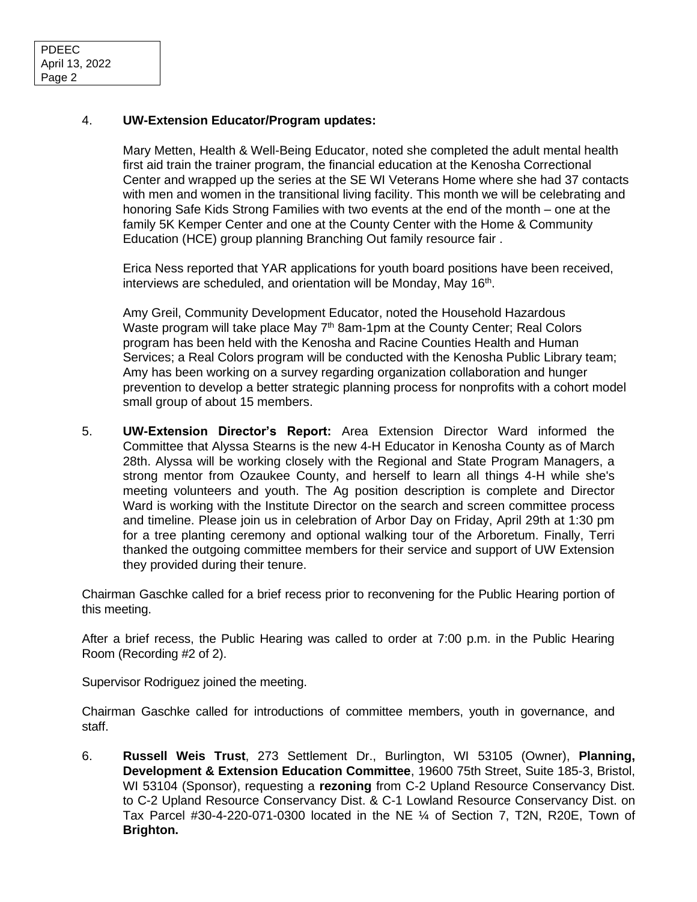### 4. **UW-Extension Educator/Program updates:**

Mary Metten, Health & Well-Being Educator, noted she completed the adult mental health first aid train the trainer program, the financial education at the Kenosha Correctional Center and wrapped up the series at the SE WI Veterans Home where she had 37 contacts with men and women in the transitional living facility. This month we will be celebrating and honoring Safe Kids Strong Families with two events at the end of the month – one at the family 5K Kemper Center and one at the County Center with the Home & Community Education (HCE) group planning Branching Out family resource fair .

Erica Ness reported that YAR applications for youth board positions have been received, interviews are scheduled, and orientation will be Monday, May 16<sup>th</sup>.

Amy Greil, Community Development Educator, noted the Household Hazardous Waste program will take place May  $7<sup>th</sup>$  8am-1pm at the County Center; Real Colors program has been held with the Kenosha and Racine Counties Health and Human Services; a Real Colors program will be conducted with the Kenosha Public Library team; Amy has been working on a survey regarding organization collaboration and hunger prevention to develop a better strategic planning process for nonprofits with a cohort model small group of about 15 members.

5. **UW-Extension Director's Report:** Area Extension Director Ward informed the Committee that Alyssa Stearns is the new 4-H Educator in Kenosha County as of March 28th. Alyssa will be working closely with the Regional and State Program Managers, a strong mentor from Ozaukee County, and herself to learn all things 4-H while she's meeting volunteers and youth. The Ag position description is complete and Director Ward is working with the Institute Director on the search and screen committee process and timeline. Please join us in celebration of Arbor Day on Friday, April 29th at 1:30 pm for a tree planting ceremony and optional walking tour of the Arboretum. Finally, Terri thanked the outgoing committee members for their service and support of UW Extension they provided during their tenure.

Chairman Gaschke called for a brief recess prior to reconvening for the Public Hearing portion of this meeting.

After a brief recess, the Public Hearing was called to order at 7:00 p.m. in the Public Hearing Room (Recording #2 of 2).

Supervisor Rodriguez joined the meeting.

Chairman Gaschke called for introductions of committee members, youth in governance, and staff.

6. **Russell Weis Trust**, 273 Settlement Dr., Burlington, WI 53105 (Owner), **Planning, Development & Extension Education Committee**, 19600 75th Street, Suite 185-3, Bristol, WI 53104 (Sponsor), requesting a **rezoning** from C-2 Upland Resource Conservancy Dist. to C-2 Upland Resource Conservancy Dist. & C-1 Lowland Resource Conservancy Dist. on Tax Parcel #30-4-220-071-0300 located in the NE ¼ of Section 7, T2N, R20E, Town of **Brighton.**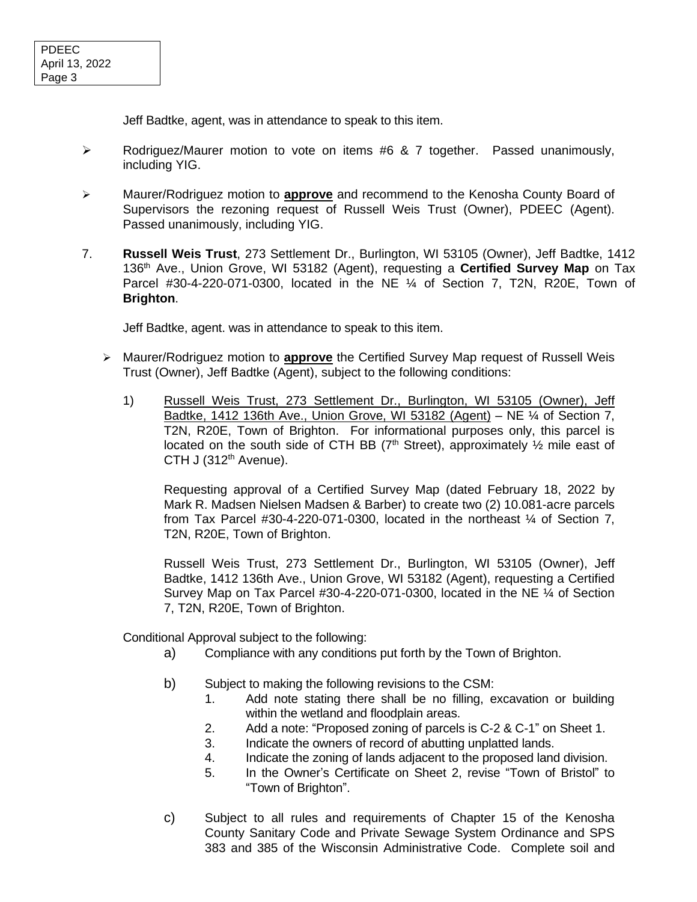Jeff Badtke, agent, was in attendance to speak to this item.

- ➢ Rodriguez/Maurer motion to vote on items #6 & 7 together. Passed unanimously, including YIG.
- ➢ Maurer/Rodriguez motion to **approve** and recommend to the Kenosha County Board of Supervisors the rezoning request of Russell Weis Trust (Owner), PDEEC (Agent). Passed unanimously, including YIG.
- 7. **Russell Weis Trust**, 273 Settlement Dr., Burlington, WI 53105 (Owner), Jeff Badtke, 1412 136th Ave., Union Grove, WI 53182 (Agent), requesting a **Certified Survey Map** on Tax Parcel #30-4-220-071-0300, located in the NE ¼ of Section 7, T2N, R20E, Town of **Brighton**.

Jeff Badtke, agent. was in attendance to speak to this item.

- ➢ Maurer/Rodriguez motion to **approve** the Certified Survey Map request of Russell Weis Trust (Owner), Jeff Badtke (Agent), subject to the following conditions:
	- 1) Russell Weis Trust, 273 Settlement Dr., Burlington, WI 53105 (Owner), Jeff Badtke, 1412 136th Ave., Union Grove, WI 53182 (Agent) – NE  $\frac{1}{4}$  of Section 7, T2N, R20E, Town of Brighton. For informational purposes only, this parcel is located on the south side of CTH BB ( $7<sup>th</sup>$  Street), approximately  $\frac{1}{2}$  mile east of CTH J (312<sup>th</sup> Avenue).

Requesting approval of a Certified Survey Map (dated February 18, 2022 by Mark R. Madsen Nielsen Madsen & Barber) to create two (2) 10.081-acre parcels from Tax Parcel  $#30-4-220-071-0300$ , located in the northeast  $\frac{1}{4}$  of Section 7, T2N, R20E, Town of Brighton.

Russell Weis Trust, 273 Settlement Dr., Burlington, WI 53105 (Owner), Jeff Badtke, 1412 136th Ave., Union Grove, WI 53182 (Agent), requesting a Certified Survey Map on Tax Parcel #30-4-220-071-0300, located in the NE ¼ of Section 7, T2N, R20E, Town of Brighton.

Conditional Approval subject to the following:

- a) Compliance with any conditions put forth by the Town of Brighton.
- b) Subject to making the following revisions to the CSM:
	- 1. Add note stating there shall be no filling, excavation or building within the wetland and floodplain areas.
	- 2. Add a note: "Proposed zoning of parcels is C-2 & C-1" on Sheet 1.
	- 3. Indicate the owners of record of abutting unplatted lands.
	- 4. Indicate the zoning of lands adjacent to the proposed land division.
	- 5. In the Owner's Certificate on Sheet 2, revise "Town of Bristol" to "Town of Brighton".
- c) Subject to all rules and requirements of Chapter 15 of the Kenosha County Sanitary Code and Private Sewage System Ordinance and SPS 383 and 385 of the Wisconsin Administrative Code. Complete soil and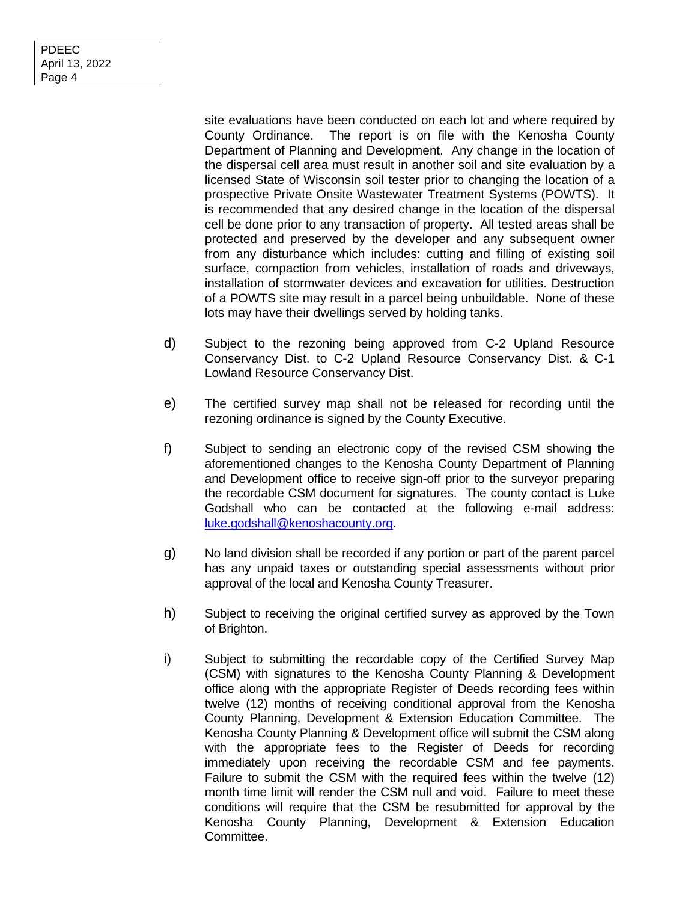site evaluations have been conducted on each lot and where required by County Ordinance. The report is on file with the Kenosha County Department of Planning and Development. Any change in the location of the dispersal cell area must result in another soil and site evaluation by a licensed State of Wisconsin soil tester prior to changing the location of a prospective Private Onsite Wastewater Treatment Systems (POWTS). It is recommended that any desired change in the location of the dispersal cell be done prior to any transaction of property. All tested areas shall be protected and preserved by the developer and any subsequent owner from any disturbance which includes: cutting and filling of existing soil surface, compaction from vehicles, installation of roads and driveways, installation of stormwater devices and excavation for utilities. Destruction of a POWTS site may result in a parcel being unbuildable. None of these lots may have their dwellings served by holding tanks.

- d) Subject to the rezoning being approved from C-2 Upland Resource Conservancy Dist. to C-2 Upland Resource Conservancy Dist. & C-1 Lowland Resource Conservancy Dist.
- e) The certified survey map shall not be released for recording until the rezoning ordinance is signed by the County Executive.
- f) Subject to sending an electronic copy of the revised CSM showing the aforementioned changes to the Kenosha County Department of Planning and Development office to receive sign-off prior to the surveyor preparing the recordable CSM document for signatures. The county contact is Luke Godshall who can be contacted at the following e-mail address: [luke.godshall@kenoshacounty.org.](mailto:luke.godshall@kenoshacounty.org)
- g) No land division shall be recorded if any portion or part of the parent parcel has any unpaid taxes or outstanding special assessments without prior approval of the local and Kenosha County Treasurer.
- h) Subject to receiving the original certified survey as approved by the Town of Brighton.
- i) Subject to submitting the recordable copy of the Certified Survey Map (CSM) with signatures to the Kenosha County Planning & Development office along with the appropriate Register of Deeds recording fees within twelve (12) months of receiving conditional approval from the Kenosha County Planning, Development & Extension Education Committee. The Kenosha County Planning & Development office will submit the CSM along with the appropriate fees to the Register of Deeds for recording immediately upon receiving the recordable CSM and fee payments. Failure to submit the CSM with the required fees within the twelve (12) month time limit will render the CSM null and void. Failure to meet these conditions will require that the CSM be resubmitted for approval by the Kenosha County Planning, Development & Extension Education Committee.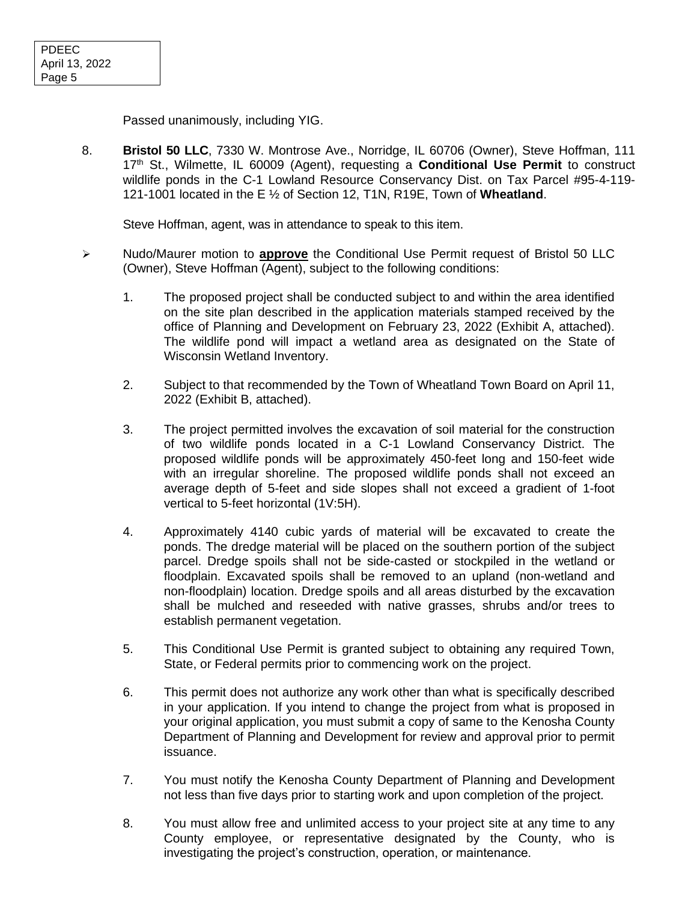Passed unanimously, including YIG.

8. **Bristol 50 LLC**, 7330 W. Montrose Ave., Norridge, IL 60706 (Owner), Steve Hoffman, 111 17th St., Wilmette, IL 60009 (Agent), requesting a **Conditional Use Permit** to construct wildlife ponds in the C-1 Lowland Resource Conservancy Dist. on Tax Parcel #95-4-119- 121-1001 located in the E ½ of Section 12, T1N, R19E, Town of **Wheatland**.

Steve Hoffman, agent, was in attendance to speak to this item.

- ➢ Nudo/Maurer motion to **approve** the Conditional Use Permit request of Bristol 50 LLC (Owner), Steve Hoffman (Agent), subject to the following conditions:
	- 1. The proposed project shall be conducted subject to and within the area identified on the site plan described in the application materials stamped received by the office of Planning and Development on February 23, 2022 (Exhibit A, attached). The wildlife pond will impact a wetland area as designated on the State of Wisconsin Wetland Inventory.
	- 2. Subject to that recommended by the Town of Wheatland Town Board on April 11, 2022 (Exhibit B, attached).
	- 3. The project permitted involves the excavation of soil material for the construction of two wildlife ponds located in a C-1 Lowland Conservancy District. The proposed wildlife ponds will be approximately 450-feet long and 150-feet wide with an irregular shoreline. The proposed wildlife ponds shall not exceed an average depth of 5-feet and side slopes shall not exceed a gradient of 1-foot vertical to 5-feet horizontal (1V:5H).
	- 4. Approximately 4140 cubic yards of material will be excavated to create the ponds. The dredge material will be placed on the southern portion of the subject parcel. Dredge spoils shall not be side-casted or stockpiled in the wetland or floodplain. Excavated spoils shall be removed to an upland (non-wetland and non-floodplain) location. Dredge spoils and all areas disturbed by the excavation shall be mulched and reseeded with native grasses, shrubs and/or trees to establish permanent vegetation.
	- 5. This Conditional Use Permit is granted subject to obtaining any required Town, State, or Federal permits prior to commencing work on the project.
	- 6. This permit does not authorize any work other than what is specifically described in your application. If you intend to change the project from what is proposed in your original application, you must submit a copy of same to the Kenosha County Department of Planning and Development for review and approval prior to permit issuance.
	- 7. You must notify the Kenosha County Department of Planning and Development not less than five days prior to starting work and upon completion of the project.
	- 8. You must allow free and unlimited access to your project site at any time to any County employee, or representative designated by the County, who is investigating the project's construction, operation, or maintenance.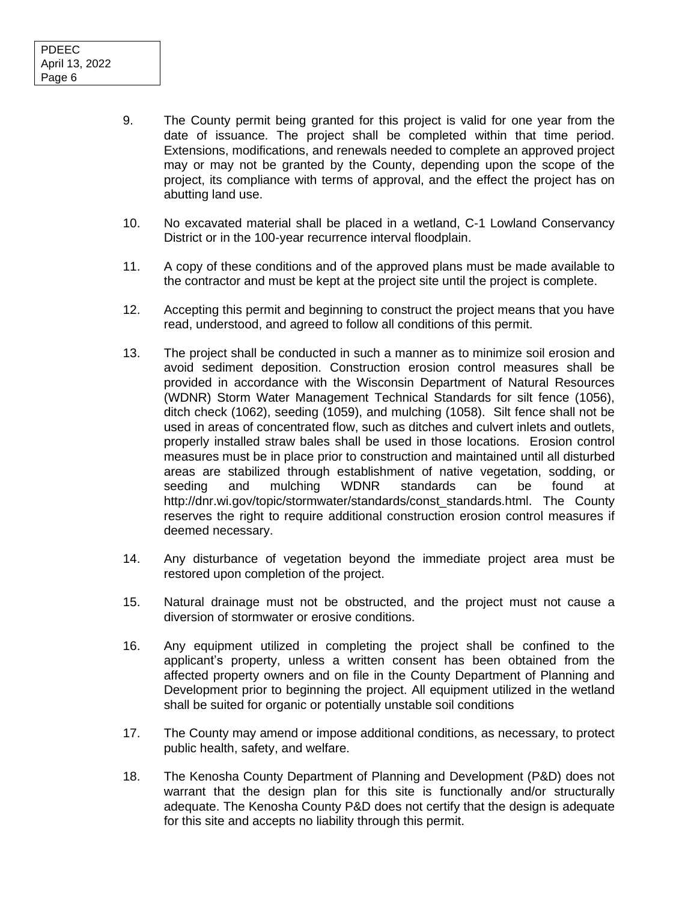- 9. The County permit being granted for this project is valid for one year from the date of issuance. The project shall be completed within that time period. Extensions, modifications, and renewals needed to complete an approved project may or may not be granted by the County, depending upon the scope of the project, its compliance with terms of approval, and the effect the project has on abutting land use.
- 10. No excavated material shall be placed in a wetland, C-1 Lowland Conservancy District or in the 100-year recurrence interval floodplain.
- 11. A copy of these conditions and of the approved plans must be made available to the contractor and must be kept at the project site until the project is complete.
- 12. Accepting this permit and beginning to construct the project means that you have read, understood, and agreed to follow all conditions of this permit.
- 13. The project shall be conducted in such a manner as to minimize soil erosion and avoid sediment deposition. Construction erosion control measures shall be provided in accordance with the Wisconsin Department of Natural Resources (WDNR) Storm Water Management Technical Standards for silt fence (1056), ditch check (1062), seeding (1059), and mulching (1058). Silt fence shall not be used in areas of concentrated flow, such as ditches and culvert inlets and outlets, properly installed straw bales shall be used in those locations. Erosion control measures must be in place prior to construction and maintained until all disturbed areas are stabilized through establishment of native vegetation, sodding, or seeding and mulching WDNR standards can be found at http://dnr.wi.gov/topic/stormwater/standards/const\_standards.html. The County reserves the right to require additional construction erosion control measures if deemed necessary.
- 14. Any disturbance of vegetation beyond the immediate project area must be restored upon completion of the project.
- 15. Natural drainage must not be obstructed, and the project must not cause a diversion of stormwater or erosive conditions.
- 16. Any equipment utilized in completing the project shall be confined to the applicant's property, unless a written consent has been obtained from the affected property owners and on file in the County Department of Planning and Development prior to beginning the project. All equipment utilized in the wetland shall be suited for organic or potentially unstable soil conditions
- 17. The County may amend or impose additional conditions, as necessary, to protect public health, safety, and welfare.
- 18. The Kenosha County Department of Planning and Development (P&D) does not warrant that the design plan for this site is functionally and/or structurally adequate. The Kenosha County P&D does not certify that the design is adequate for this site and accepts no liability through this permit.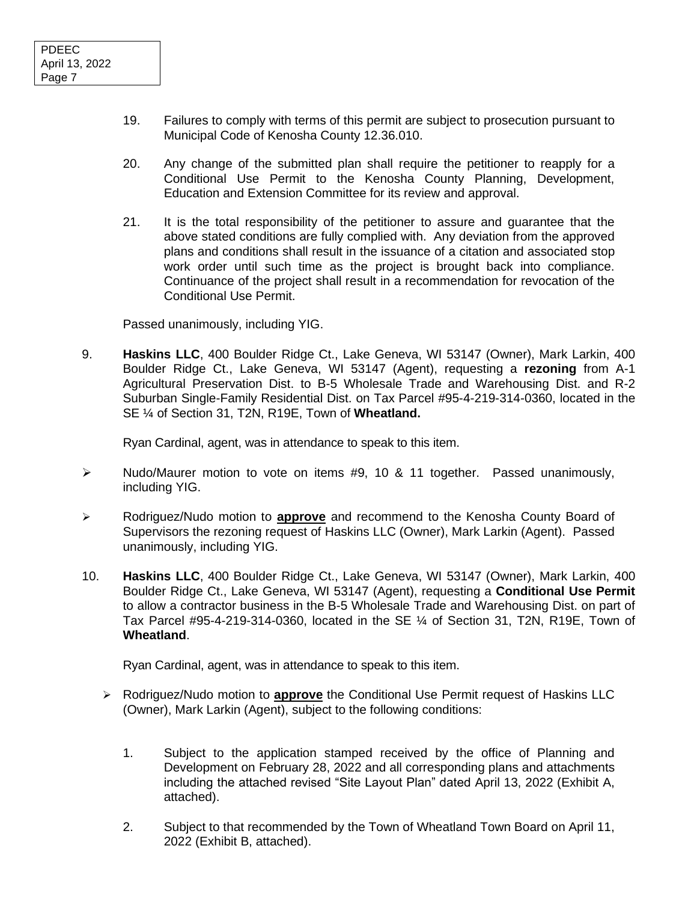- 19. Failures to comply with terms of this permit are subject to prosecution pursuant to Municipal Code of Kenosha County 12.36.010.
- 20. Any change of the submitted plan shall require the petitioner to reapply for a Conditional Use Permit to the Kenosha County Planning, Development, Education and Extension Committee for its review and approval.
- 21. It is the total responsibility of the petitioner to assure and guarantee that the above stated conditions are fully complied with. Any deviation from the approved plans and conditions shall result in the issuance of a citation and associated stop work order until such time as the project is brought back into compliance. Continuance of the project shall result in a recommendation for revocation of the Conditional Use Permit.

Passed unanimously, including YIG.

9. **Haskins LLC**, 400 Boulder Ridge Ct., Lake Geneva, WI 53147 (Owner), Mark Larkin, 400 Boulder Ridge Ct., Lake Geneva, WI 53147 (Agent), requesting a **rezoning** from A-1 Agricultural Preservation Dist. to B-5 Wholesale Trade and Warehousing Dist. and R-2 Suburban Single-Family Residential Dist. on Tax Parcel #95-4-219-314-0360, located in the SE ¼ of Section 31, T2N, R19E, Town of **Wheatland.**

Ryan Cardinal, agent, was in attendance to speak to this item.

- ➢ Nudo/Maurer motion to vote on items #9, 10 & 11 together. Passed unanimously, including YIG.
- ➢ Rodriguez/Nudo motion to **approve** and recommend to the Kenosha County Board of Supervisors the rezoning request of Haskins LLC (Owner), Mark Larkin (Agent). Passed unanimously, including YIG.
- 10. **Haskins LLC**, 400 Boulder Ridge Ct., Lake Geneva, WI 53147 (Owner), Mark Larkin, 400 Boulder Ridge Ct., Lake Geneva, WI 53147 (Agent), requesting a **Conditional Use Permit** to allow a contractor business in the B-5 Wholesale Trade and Warehousing Dist. on part of Tax Parcel #95-4-219-314-0360, located in the SE ¼ of Section 31, T2N, R19E, Town of **Wheatland**.

Ryan Cardinal, agent, was in attendance to speak to this item.

- ➢ Rodriguez/Nudo motion to **approve** the Conditional Use Permit request of Haskins LLC (Owner), Mark Larkin (Agent), subject to the following conditions:
	- 1. Subject to the application stamped received by the office of Planning and Development on February 28, 2022 and all corresponding plans and attachments including the attached revised "Site Layout Plan" dated April 13, 2022 (Exhibit A, attached).
	- 2. Subject to that recommended by the Town of Wheatland Town Board on April 11, 2022 (Exhibit B, attached).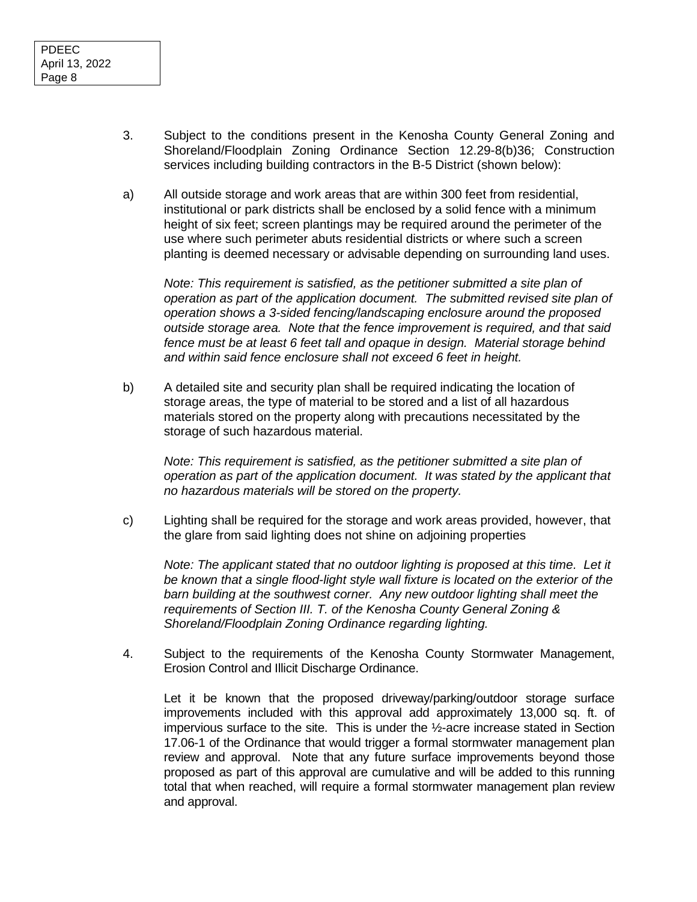- 3. Subject to the conditions present in the Kenosha County General Zoning and Shoreland/Floodplain Zoning Ordinance Section 12.29-8(b)36; Construction services including building contractors in the B-5 District (shown below):
- a) All outside storage and work areas that are within 300 feet from residential, institutional or park districts shall be enclosed by a solid fence with a minimum height of six feet; screen plantings may be required around the perimeter of the use where such perimeter abuts residential districts or where such a screen planting is deemed necessary or advisable depending on surrounding land uses.

*Note: This requirement is satisfied, as the petitioner submitted a site plan of operation as part of the application document. The submitted revised site plan of operation shows a 3-sided fencing/landscaping enclosure around the proposed outside storage area. Note that the fence improvement is required, and that said fence must be at least 6 feet tall and opaque in design. Material storage behind and within said fence enclosure shall not exceed 6 feet in height.*

b) A detailed site and security plan shall be required indicating the location of storage areas, the type of material to be stored and a list of all hazardous materials stored on the property along with precautions necessitated by the storage of such hazardous material.

*Note: This requirement is satisfied, as the petitioner submitted a site plan of operation as part of the application document. It was stated by the applicant that no hazardous materials will be stored on the property.*

c) Lighting shall be required for the storage and work areas provided, however, that the glare from said lighting does not shine on adjoining properties

*Note: The applicant stated that no outdoor lighting is proposed at this time. Let it be known that a single flood-light style wall fixture is located on the exterior of the barn building at the southwest corner. Any new outdoor lighting shall meet the requirements of Section III. T. of the Kenosha County General Zoning & Shoreland/Floodplain Zoning Ordinance regarding lighting.*

4. Subject to the requirements of the Kenosha County Stormwater Management, Erosion Control and Illicit Discharge Ordinance.

Let it be known that the proposed driveway/parking/outdoor storage surface improvements included with this approval add approximately 13,000 sq. ft. of impervious surface to the site. This is under the ½-acre increase stated in Section 17.06-1 of the Ordinance that would trigger a formal stormwater management plan review and approval. Note that any future surface improvements beyond those proposed as part of this approval are cumulative and will be added to this running total that when reached, will require a formal stormwater management plan review and approval.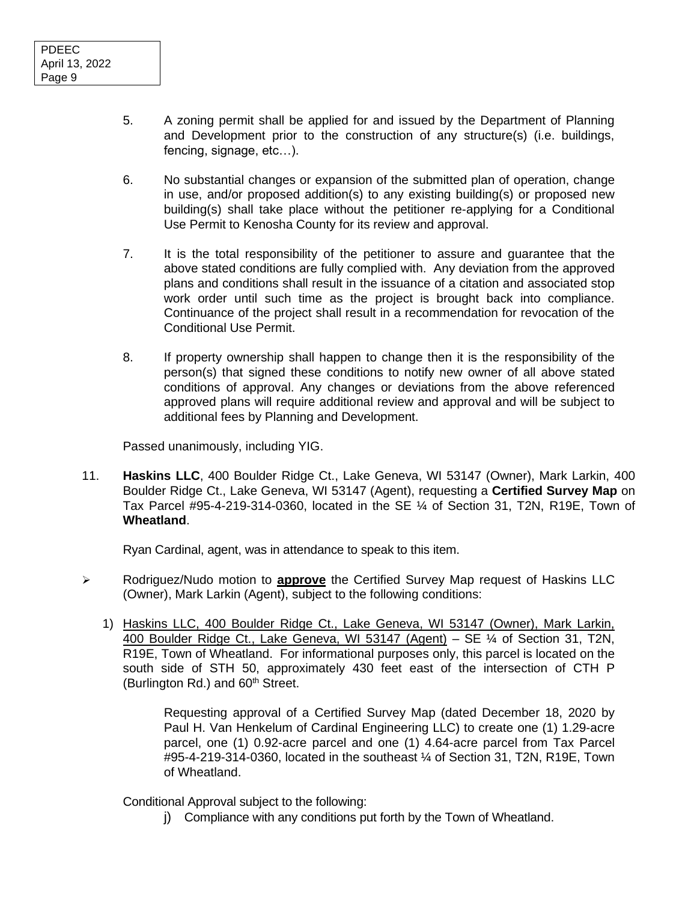- 5. A zoning permit shall be applied for and issued by the Department of Planning and Development prior to the construction of any structure(s) (i.e. buildings, fencing, signage, etc…).
- 6. No substantial changes or expansion of the submitted plan of operation, change in use, and/or proposed addition(s) to any existing building(s) or proposed new building(s) shall take place without the petitioner re-applying for a Conditional Use Permit to Kenosha County for its review and approval.
- 7. It is the total responsibility of the petitioner to assure and guarantee that the above stated conditions are fully complied with. Any deviation from the approved plans and conditions shall result in the issuance of a citation and associated stop work order until such time as the project is brought back into compliance. Continuance of the project shall result in a recommendation for revocation of the Conditional Use Permit.
- 8. If property ownership shall happen to change then it is the responsibility of the person(s) that signed these conditions to notify new owner of all above stated conditions of approval. Any changes or deviations from the above referenced approved plans will require additional review and approval and will be subject to additional fees by Planning and Development.

Passed unanimously, including YIG.

11. **Haskins LLC**, 400 Boulder Ridge Ct., Lake Geneva, WI 53147 (Owner), Mark Larkin, 400 Boulder Ridge Ct., Lake Geneva, WI 53147 (Agent), requesting a **Certified Survey Map** on Tax Parcel #95-4-219-314-0360, located in the SE ¼ of Section 31, T2N, R19E, Town of **Wheatland**.

Ryan Cardinal, agent, was in attendance to speak to this item.

- ➢ Rodriguez/Nudo motion to **approve** the Certified Survey Map request of Haskins LLC (Owner), Mark Larkin (Agent), subject to the following conditions:
	- 1) Haskins LLC, 400 Boulder Ridge Ct., Lake Geneva, WI 53147 (Owner), Mark Larkin, 400 Boulder Ridge Ct., Lake Geneva, WI 53147 (Agent) – SE ¼ of Section 31, T2N, R19E, Town of Wheatland. For informational purposes only, this parcel is located on the south side of STH 50, approximately 430 feet east of the intersection of CTH P (Burlington Rd.) and  $60<sup>th</sup>$  Street.

Requesting approval of a Certified Survey Map (dated December 18, 2020 by Paul H. Van Henkelum of Cardinal Engineering LLC) to create one (1) 1.29-acre parcel, one (1) 0.92-acre parcel and one (1) 4.64-acre parcel from Tax Parcel #95-4-219-314-0360, located in the southeast ¼ of Section 31, T2N, R19E, Town of Wheatland.

Conditional Approval subject to the following:

j) Compliance with any conditions put forth by the Town of Wheatland.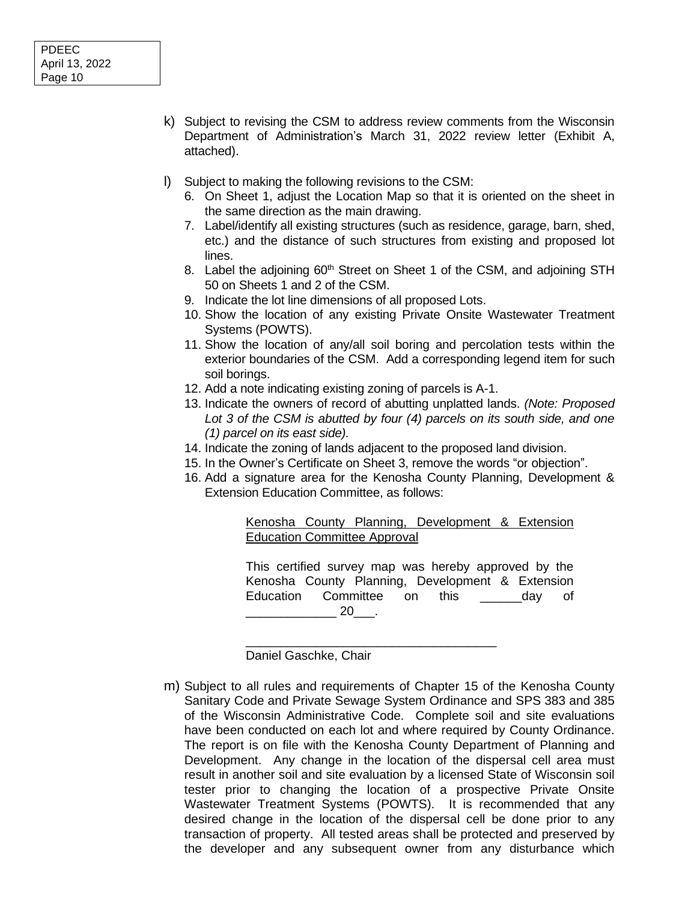- k) Subject to revising the CSM to address review comments from the Wisconsin Department of Administration's March 31, 2022 review letter (Exhibit A, attached).
- l) Subject to making the following revisions to the CSM:
	- 6. On Sheet 1, adjust the Location Map so that it is oriented on the sheet in the same direction as the main drawing.
	- 7. Label/identify all existing structures (such as residence, garage, barn, shed, etc.) and the distance of such structures from existing and proposed lot lines.
	- 8. Label the adjoining 60<sup>th</sup> Street on Sheet 1 of the CSM, and adjoining STH 50 on Sheets 1 and 2 of the CSM.
	- 9. Indicate the lot line dimensions of all proposed Lots.
	- 10. Show the location of any existing Private Onsite Wastewater Treatment Systems (POWTS).
	- 11. Show the location of any/all soil boring and percolation tests within the exterior boundaries of the CSM. Add a corresponding legend item for such soil borings.
	- 12. Add a note indicating existing zoning of parcels is A-1.
	- 13. Indicate the owners of record of abutting unplatted lands. *(Note: Proposed Lot 3 of the CSM is abutted by four (4) parcels on its south side, and one (1) parcel on its east side).*
	- 14. Indicate the zoning of lands adjacent to the proposed land division.
	- 15. In the Owner's Certificate on Sheet 3, remove the words "or objection".
	- 16. Add a signature area for the Kenosha County Planning, Development & Extension Education Committee, as follows:

## Kenosha County Planning, Development & Extension Education Committee Approval

This certified survey map was hereby approved by the Kenosha County Planning, Development & Extension Education Committee on this and day of \_\_\_\_\_\_\_\_\_\_\_\_\_ 20\_\_\_.

Daniel Gaschke, Chair

m) Subject to all rules and requirements of Chapter 15 of the Kenosha County Sanitary Code and Private Sewage System Ordinance and SPS 383 and 385 of the Wisconsin Administrative Code. Complete soil and site evaluations have been conducted on each lot and where required by County Ordinance. The report is on file with the Kenosha County Department of Planning and Development. Any change in the location of the dispersal cell area must result in another soil and site evaluation by a licensed State of Wisconsin soil tester prior to changing the location of a prospective Private Onsite Wastewater Treatment Systems (POWTS). It is recommended that any desired change in the location of the dispersal cell be done prior to any transaction of property. All tested areas shall be protected and preserved by the developer and any subsequent owner from any disturbance which

\_\_\_\_\_\_\_\_\_\_\_\_\_\_\_\_\_\_\_\_\_\_\_\_\_\_\_\_\_\_\_\_\_\_\_\_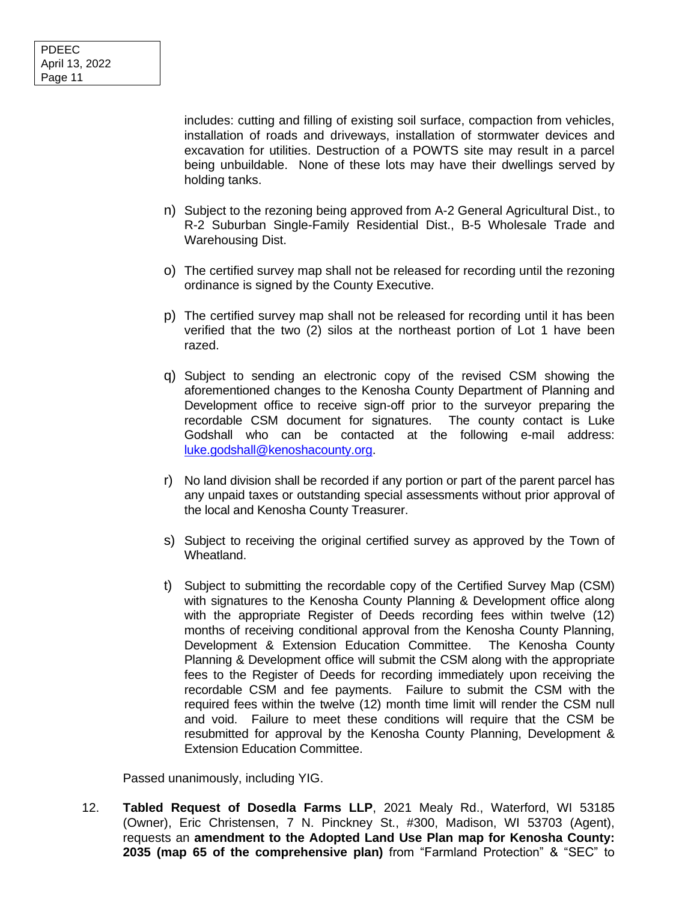includes: cutting and filling of existing soil surface, compaction from vehicles, installation of roads and driveways, installation of stormwater devices and excavation for utilities. Destruction of a POWTS site may result in a parcel being unbuildable. None of these lots may have their dwellings served by holding tanks.

- n) Subject to the rezoning being approved from A-2 General Agricultural Dist., to R-2 Suburban Single-Family Residential Dist., B-5 Wholesale Trade and Warehousing Dist.
- o) The certified survey map shall not be released for recording until the rezoning ordinance is signed by the County Executive.
- p) The certified survey map shall not be released for recording until it has been verified that the two (2) silos at the northeast portion of Lot 1 have been razed.
- q) Subject to sending an electronic copy of the revised CSM showing the aforementioned changes to the Kenosha County Department of Planning and Development office to receive sign-off prior to the surveyor preparing the recordable CSM document for signatures. The county contact is Luke Godshall who can be contacted at the following e-mail address: [luke.godshall@kenoshacounty.org.](mailto:luke.godshall@kenoshacounty.org)
- r) No land division shall be recorded if any portion or part of the parent parcel has any unpaid taxes or outstanding special assessments without prior approval of the local and Kenosha County Treasurer.
- s) Subject to receiving the original certified survey as approved by the Town of Wheatland.
- t) Subject to submitting the recordable copy of the Certified Survey Map (CSM) with signatures to the Kenosha County Planning & Development office along with the appropriate Register of Deeds recording fees within twelve (12) months of receiving conditional approval from the Kenosha County Planning, Development & Extension Education Committee. The Kenosha County Planning & Development office will submit the CSM along with the appropriate fees to the Register of Deeds for recording immediately upon receiving the recordable CSM and fee payments. Failure to submit the CSM with the required fees within the twelve (12) month time limit will render the CSM null and void. Failure to meet these conditions will require that the CSM be resubmitted for approval by the Kenosha County Planning, Development & Extension Education Committee.

Passed unanimously, including YIG.

12. **Tabled Request of Dosedla Farms LLP**, 2021 Mealy Rd., Waterford, WI 53185 (Owner), Eric Christensen, 7 N. Pinckney St., #300, Madison, WI 53703 (Agent), requests an **amendment to the Adopted Land Use Plan map for Kenosha County: 2035 (map 65 of the comprehensive plan)** from "Farmland Protection" & "SEC" to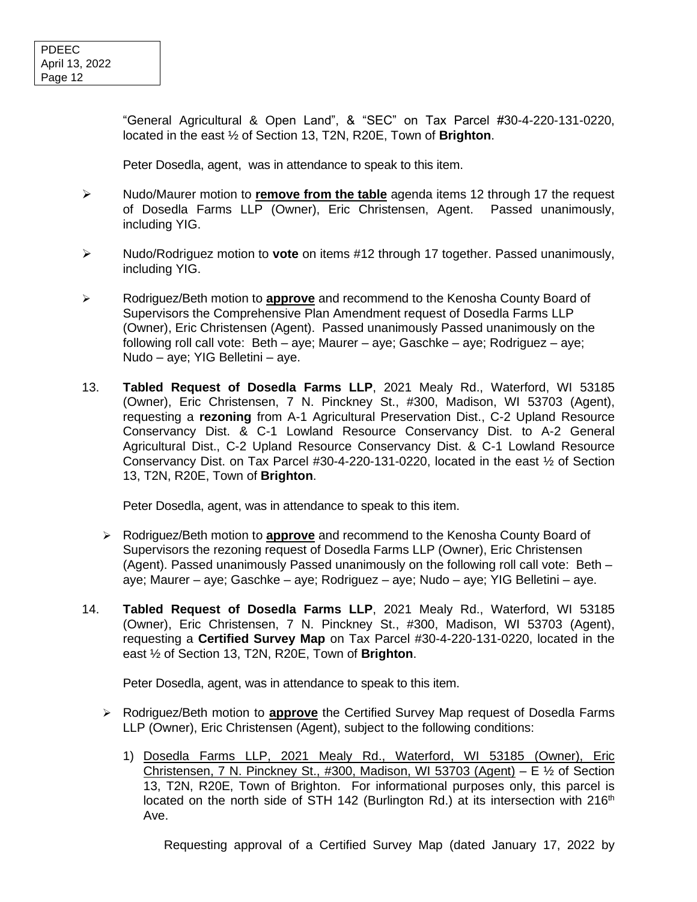"General Agricultural & Open Land", & "SEC" on Tax Parcel #30-4-220-131-0220, located in the east ½ of Section 13, T2N, R20E, Town of **Brighton**.

Peter Dosedla, agent, was in attendance to speak to this item.

- ➢ Nudo/Maurer motion to **remove from the table** agenda items 12 through 17 the request of Dosedla Farms LLP (Owner), Eric Christensen, Agent. Passed unanimously, including YIG.
- ➢ Nudo/Rodriguez motion to **vote** on items #12 through 17 together. Passed unanimously, including YIG.
- ➢ Rodriguez/Beth motion to **approve** and recommend to the Kenosha County Board of Supervisors the Comprehensive Plan Amendment request of Dosedla Farms LLP (Owner), Eric Christensen (Agent). Passed unanimously Passed unanimously on the following roll call vote: Beth – aye; Maurer – aye; Gaschke – aye; Rodriguez – aye; Nudo – aye; YIG Belletini – aye.
- 13. **Tabled Request of Dosedla Farms LLP**, 2021 Mealy Rd., Waterford, WI 53185 (Owner), Eric Christensen, 7 N. Pinckney St., #300, Madison, WI 53703 (Agent), requesting a **rezoning** from A-1 Agricultural Preservation Dist., C-2 Upland Resource Conservancy Dist. & C-1 Lowland Resource Conservancy Dist. to A-2 General Agricultural Dist., C-2 Upland Resource Conservancy Dist. & C-1 Lowland Resource Conservancy Dist. on Tax Parcel #30-4-220-131-0220, located in the east ½ of Section 13, T2N, R20E, Town of **Brighton**.

Peter Dosedla, agent, was in attendance to speak to this item.

- ➢ Rodriguez/Beth motion to **approve** and recommend to the Kenosha County Board of Supervisors the rezoning request of Dosedla Farms LLP (Owner), Eric Christensen (Agent). Passed unanimously Passed unanimously on the following roll call vote: Beth – aye; Maurer – aye; Gaschke – aye; Rodriguez – aye; Nudo – aye; YIG Belletini – aye.
- 14. **Tabled Request of Dosedla Farms LLP**, 2021 Mealy Rd., Waterford, WI 53185 (Owner), Eric Christensen, 7 N. Pinckney St., #300, Madison, WI 53703 (Agent), requesting a **Certified Survey Map** on Tax Parcel #30-4-220-131-0220, located in the east ½ of Section 13, T2N, R20E, Town of **Brighton**.

Peter Dosedla, agent, was in attendance to speak to this item.

- ➢ Rodriguez/Beth motion to **approve** the Certified Survey Map request of Dosedla Farms LLP (Owner), Eric Christensen (Agent), subject to the following conditions:
	- 1) Dosedla Farms LLP, 2021 Mealy Rd., Waterford, WI 53185 (Owner), Eric Christensen, 7 N. Pinckney St., #300, Madison, WI 53703 (Agent) – E  $\frac{1}{2}$  of Section 13, T2N, R20E, Town of Brighton. For informational purposes only, this parcel is located on the north side of STH 142 (Burlington Rd.) at its intersection with  $216<sup>th</sup>$ Ave.

Requesting approval of a Certified Survey Map (dated January 17, 2022 by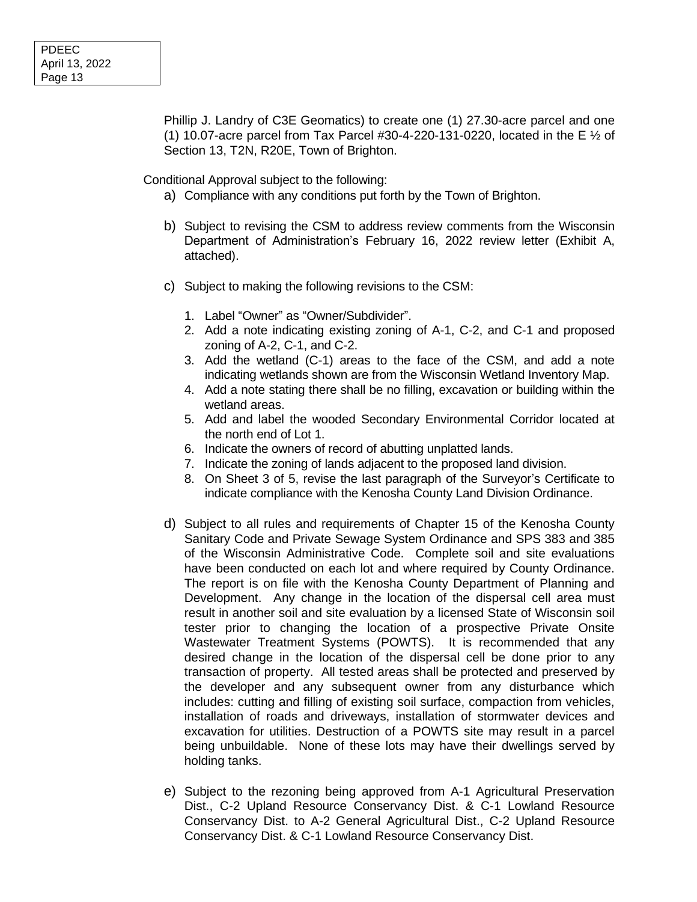Phillip J. Landry of C3E Geomatics) to create one (1) 27.30-acre parcel and one (1) 10.07-acre parcel from Tax Parcel #30-4-220-131-0220, located in the E  $\frac{1}{2}$  of Section 13, T2N, R20E, Town of Brighton.

Conditional Approval subject to the following:

- a) Compliance with any conditions put forth by the Town of Brighton.
- b) Subject to revising the CSM to address review comments from the Wisconsin Department of Administration's February 16, 2022 review letter (Exhibit A, attached).
- c) Subject to making the following revisions to the CSM:
	- 1. Label "Owner" as "Owner/Subdivider".
	- 2. Add a note indicating existing zoning of A-1, C-2, and C-1 and proposed zoning of A-2, C-1, and C-2.
	- 3. Add the wetland (C-1) areas to the face of the CSM, and add a note indicating wetlands shown are from the Wisconsin Wetland Inventory Map.
	- 4. Add a note stating there shall be no filling, excavation or building within the wetland areas.
	- 5. Add and label the wooded Secondary Environmental Corridor located at the north end of Lot 1.
	- 6. Indicate the owners of record of abutting unplatted lands.
	- 7. Indicate the zoning of lands adjacent to the proposed land division.
	- 8. On Sheet 3 of 5, revise the last paragraph of the Surveyor's Certificate to indicate compliance with the Kenosha County Land Division Ordinance.
- d) Subject to all rules and requirements of Chapter 15 of the Kenosha County Sanitary Code and Private Sewage System Ordinance and SPS 383 and 385 of the Wisconsin Administrative Code. Complete soil and site evaluations have been conducted on each lot and where required by County Ordinance. The report is on file with the Kenosha County Department of Planning and Development. Any change in the location of the dispersal cell area must result in another soil and site evaluation by a licensed State of Wisconsin soil tester prior to changing the location of a prospective Private Onsite Wastewater Treatment Systems (POWTS). It is recommended that any desired change in the location of the dispersal cell be done prior to any transaction of property. All tested areas shall be protected and preserved by the developer and any subsequent owner from any disturbance which includes: cutting and filling of existing soil surface, compaction from vehicles, installation of roads and driveways, installation of stormwater devices and excavation for utilities. Destruction of a POWTS site may result in a parcel being unbuildable. None of these lots may have their dwellings served by holding tanks.
- e) Subject to the rezoning being approved from A-1 Agricultural Preservation Dist., C-2 Upland Resource Conservancy Dist. & C-1 Lowland Resource Conservancy Dist. to A-2 General Agricultural Dist., C-2 Upland Resource Conservancy Dist. & C-1 Lowland Resource Conservancy Dist.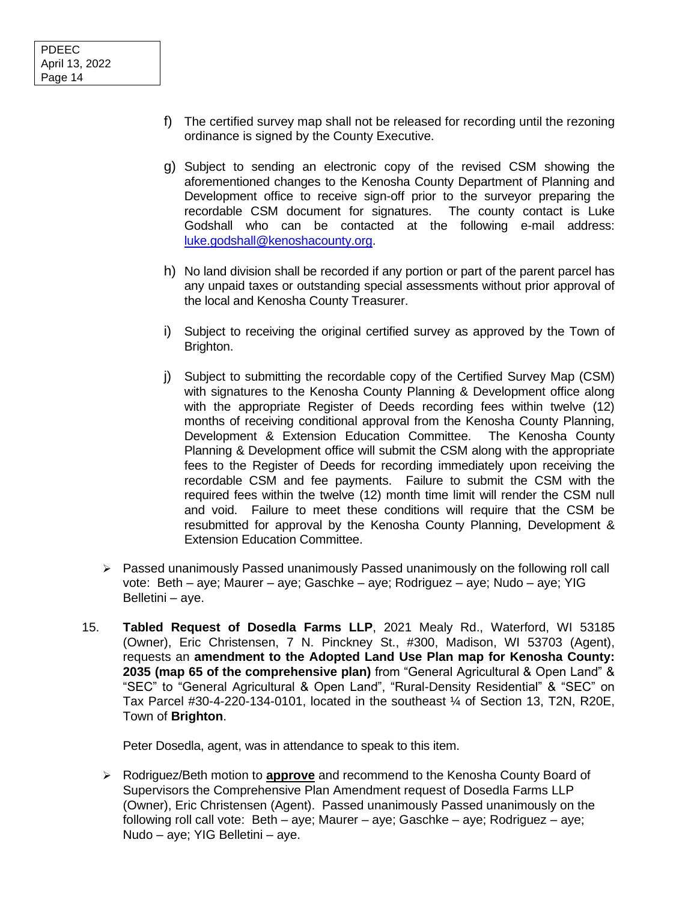- f) The certified survey map shall not be released for recording until the rezoning ordinance is signed by the County Executive.
- g) Subject to sending an electronic copy of the revised CSM showing the aforementioned changes to the Kenosha County Department of Planning and Development office to receive sign-off prior to the surveyor preparing the recordable CSM document for signatures. The county contact is Luke Godshall who can be contacted at the following e-mail address: [luke.godshall@kenoshacounty.org.](mailto:luke.godshall@kenoshacounty.org)
- h) No land division shall be recorded if any portion or part of the parent parcel has any unpaid taxes or outstanding special assessments without prior approval of the local and Kenosha County Treasurer.
- i) Subject to receiving the original certified survey as approved by the Town of Brighton.
- j) Subject to submitting the recordable copy of the Certified Survey Map (CSM) with signatures to the Kenosha County Planning & Development office along with the appropriate Register of Deeds recording fees within twelve (12) months of receiving conditional approval from the Kenosha County Planning, Development & Extension Education Committee. The Kenosha County Planning & Development office will submit the CSM along with the appropriate fees to the Register of Deeds for recording immediately upon receiving the recordable CSM and fee payments. Failure to submit the CSM with the required fees within the twelve (12) month time limit will render the CSM null and void. Failure to meet these conditions will require that the CSM be resubmitted for approval by the Kenosha County Planning, Development & Extension Education Committee.
- ➢ Passed unanimously Passed unanimously Passed unanimously on the following roll call vote: Beth – aye; Maurer – aye; Gaschke – aye; Rodriguez – aye; Nudo – aye; YIG Belletini – aye.
- 15. **Tabled Request of Dosedla Farms LLP**, 2021 Mealy Rd., Waterford, WI 53185 (Owner), Eric Christensen, 7 N. Pinckney St., #300, Madison, WI 53703 (Agent), requests an **amendment to the Adopted Land Use Plan map for Kenosha County: 2035 (map 65 of the comprehensive plan)** from "General Agricultural & Open Land" & "SEC" to "General Agricultural & Open Land", "Rural-Density Residential" & "SEC" on Tax Parcel #30-4-220-134-0101, located in the southeast ¼ of Section 13, T2N, R20E, Town of **Brighton**.

Peter Dosedla, agent, was in attendance to speak to this item.

➢ Rodriguez/Beth motion to **approve** and recommend to the Kenosha County Board of Supervisors the Comprehensive Plan Amendment request of Dosedla Farms LLP (Owner), Eric Christensen (Agent). Passed unanimously Passed unanimously on the following roll call vote: Beth – aye; Maurer – aye; Gaschke – aye; Rodriguez – aye; Nudo – aye; YIG Belletini – aye.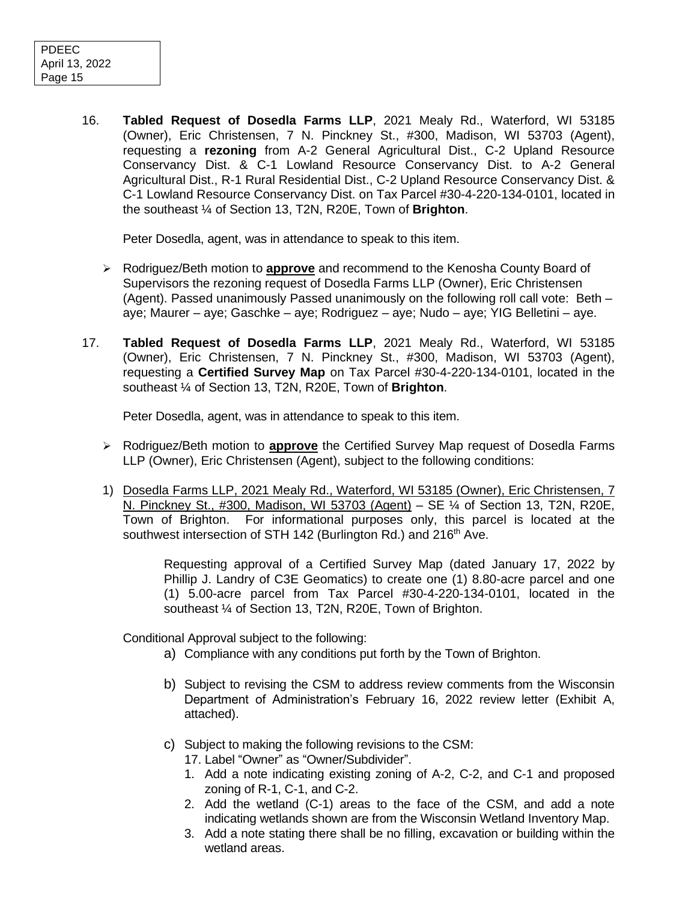16. **Tabled Request of Dosedla Farms LLP**, 2021 Mealy Rd., Waterford, WI 53185 (Owner), Eric Christensen, 7 N. Pinckney St., #300, Madison, WI 53703 (Agent), requesting a **rezoning** from A-2 General Agricultural Dist., C-2 Upland Resource Conservancy Dist. & C-1 Lowland Resource Conservancy Dist. to A-2 General Agricultural Dist., R-1 Rural Residential Dist., C-2 Upland Resource Conservancy Dist. & C-1 Lowland Resource Conservancy Dist. on Tax Parcel #30-4-220-134-0101, located in the southeast ¼ of Section 13, T2N, R20E, Town of **Brighton**.

Peter Dosedla, agent, was in attendance to speak to this item.

- ➢ Rodriguez/Beth motion to **approve** and recommend to the Kenosha County Board of Supervisors the rezoning request of Dosedla Farms LLP (Owner), Eric Christensen (Agent). Passed unanimously Passed unanimously on the following roll call vote: Beth – aye; Maurer – aye; Gaschke – aye; Rodriguez – aye; Nudo – aye; YIG Belletini – aye.
- 17. **Tabled Request of Dosedla Farms LLP**, 2021 Mealy Rd., Waterford, WI 53185 (Owner), Eric Christensen, 7 N. Pinckney St., #300, Madison, WI 53703 (Agent), requesting a **Certified Survey Map** on Tax Parcel #30-4-220-134-0101, located in the southeast ¼ of Section 13, T2N, R20E, Town of **Brighton**.

Peter Dosedla, agent, was in attendance to speak to this item.

- ➢ Rodriguez/Beth motion to **approve** the Certified Survey Map request of Dosedla Farms LLP (Owner), Eric Christensen (Agent), subject to the following conditions:
- 1) Dosedla Farms LLP, 2021 Mealy Rd., Waterford, WI 53185 (Owner), Eric Christensen, 7 N. Pinckney St., #300, Madison, WI 53703 (Agent) – SE ¼ of Section 13, T2N, R20E, Town of Brighton. For informational purposes only, this parcel is located at the southwest intersection of STH 142 (Burlington Rd.) and 216<sup>th</sup> Ave.

Requesting approval of a Certified Survey Map (dated January 17, 2022 by Phillip J. Landry of C3E Geomatics) to create one (1) 8.80-acre parcel and one (1) 5.00-acre parcel from Tax Parcel #30-4-220-134-0101, located in the southeast % of Section 13, T2N, R20E, Town of Brighton.

Conditional Approval subject to the following:

- a) Compliance with any conditions put forth by the Town of Brighton.
- b) Subject to revising the CSM to address review comments from the Wisconsin Department of Administration's February 16, 2022 review letter (Exhibit A, attached).
- c) Subject to making the following revisions to the CSM:
	- 17. Label "Owner" as "Owner/Subdivider".
	- 1. Add a note indicating existing zoning of A-2, C-2, and C-1 and proposed zoning of R-1, C-1, and C-2.
	- 2. Add the wetland (C-1) areas to the face of the CSM, and add a note indicating wetlands shown are from the Wisconsin Wetland Inventory Map.
	- 3. Add a note stating there shall be no filling, excavation or building within the wetland areas.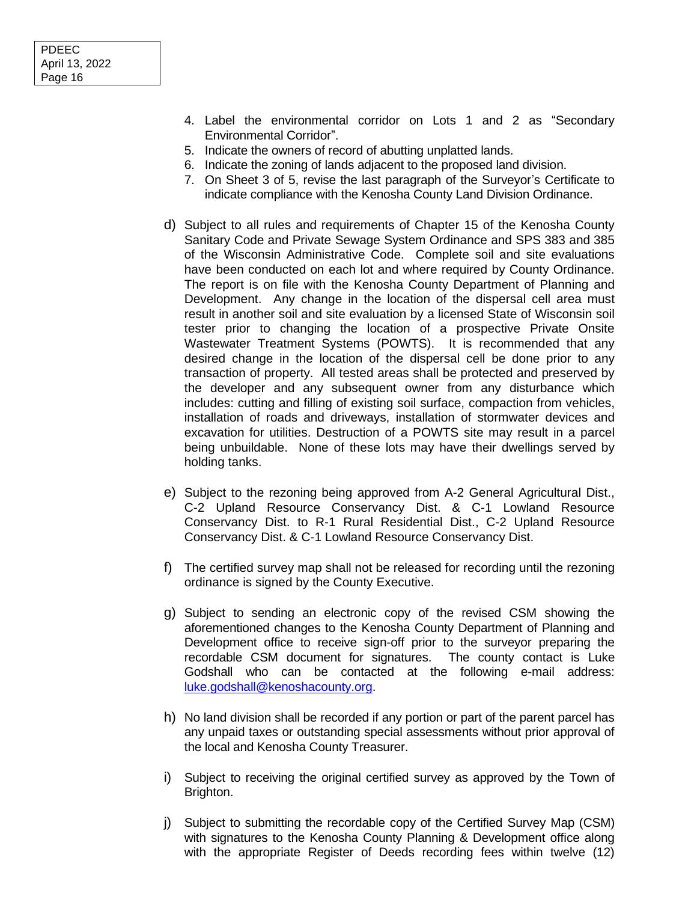- 4. Label the environmental corridor on Lots 1 and 2 as "Secondary Environmental Corridor".
- 5. Indicate the owners of record of abutting unplatted lands.
- 6. Indicate the zoning of lands adjacent to the proposed land division.
- 7. On Sheet 3 of 5, revise the last paragraph of the Surveyor's Certificate to indicate compliance with the Kenosha County Land Division Ordinance.
- d) Subject to all rules and requirements of Chapter 15 of the Kenosha County Sanitary Code and Private Sewage System Ordinance and SPS 383 and 385 of the Wisconsin Administrative Code. Complete soil and site evaluations have been conducted on each lot and where required by County Ordinance. The report is on file with the Kenosha County Department of Planning and Development. Any change in the location of the dispersal cell area must result in another soil and site evaluation by a licensed State of Wisconsin soil tester prior to changing the location of a prospective Private Onsite Wastewater Treatment Systems (POWTS). It is recommended that any desired change in the location of the dispersal cell be done prior to any transaction of property. All tested areas shall be protected and preserved by the developer and any subsequent owner from any disturbance which includes: cutting and filling of existing soil surface, compaction from vehicles, installation of roads and driveways, installation of stormwater devices and excavation for utilities. Destruction of a POWTS site may result in a parcel being unbuildable. None of these lots may have their dwellings served by holding tanks.
- e) Subject to the rezoning being approved from A-2 General Agricultural Dist., C-2 Upland Resource Conservancy Dist. & C-1 Lowland Resource Conservancy Dist. to R-1 Rural Residential Dist., C-2 Upland Resource Conservancy Dist. & C-1 Lowland Resource Conservancy Dist.
- f) The certified survey map shall not be released for recording until the rezoning ordinance is signed by the County Executive.
- g) Subject to sending an electronic copy of the revised CSM showing the aforementioned changes to the Kenosha County Department of Planning and Development office to receive sign-off prior to the surveyor preparing the recordable CSM document for signatures. The county contact is Luke Godshall who can be contacted at the following e-mail address: [luke.godshall@kenoshacounty.org.](mailto:luke.godshall@kenoshacounty.org)
- h) No land division shall be recorded if any portion or part of the parent parcel has any unpaid taxes or outstanding special assessments without prior approval of the local and Kenosha County Treasurer.
- i) Subject to receiving the original certified survey as approved by the Town of Brighton.
- j) Subject to submitting the recordable copy of the Certified Survey Map (CSM) with signatures to the Kenosha County Planning & Development office along with the appropriate Register of Deeds recording fees within twelve (12)